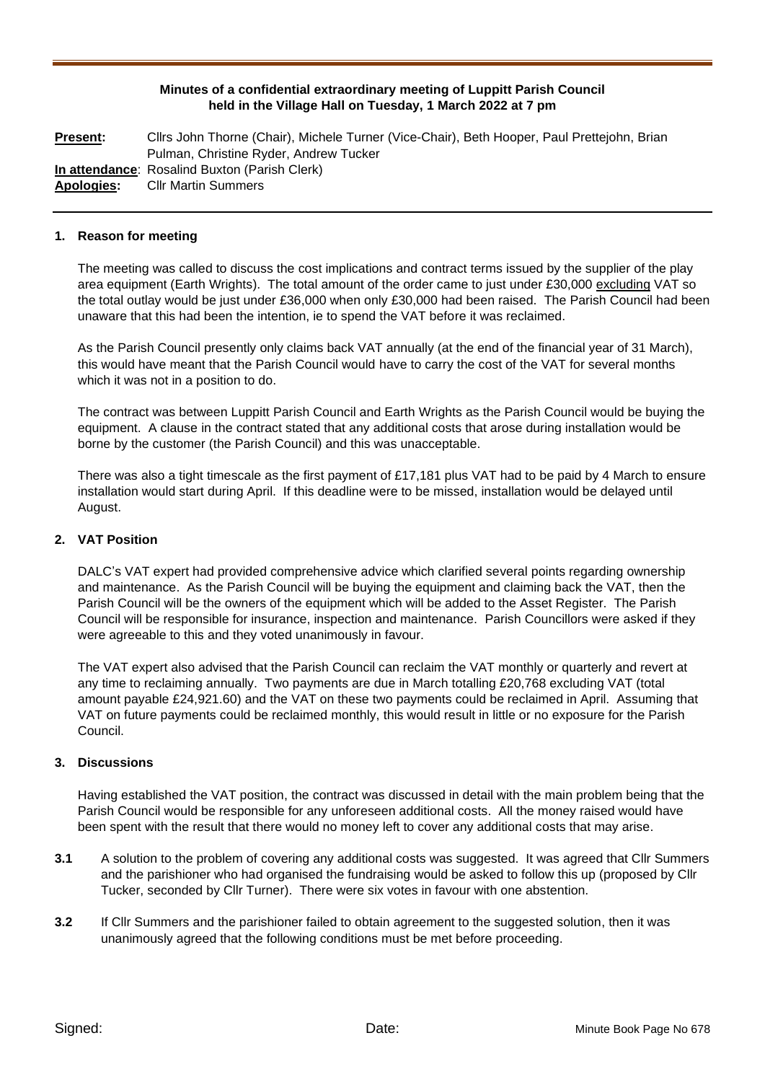## **Minutes of a confidential extraordinary meeting of Luppitt Parish Council held in the Village Hall on Tuesday, 1 March 2022 at 7 pm**

**Present:** Cllrs John Thorne (Chair), Michele Turner (Vice-Chair), Beth Hooper, Paul Prettejohn, Brian Pulman, Christine Ryder, Andrew Tucker **In attendance**: Rosalind Buxton (Parish Clerk) **Apologies:** Cllr Martin Summers

#### **1. Reason for meeting**

The meeting was called to discuss the cost implications and contract terms issued by the supplier of the play area equipment (Earth Wrights). The total amount of the order came to just under £30,000 excluding VAT so the total outlay would be just under £36,000 when only £30,000 had been raised. The Parish Council had been unaware that this had been the intention, ie to spend the VAT before it was reclaimed.

As the Parish Council presently only claims back VAT annually (at the end of the financial year of 31 March), this would have meant that the Parish Council would have to carry the cost of the VAT for several months which it was not in a position to do.

The contract was between Luppitt Parish Council and Earth Wrights as the Parish Council would be buying the equipment. A clause in the contract stated that any additional costs that arose during installation would be borne by the customer (the Parish Council) and this was unacceptable.

There was also a tight timescale as the first payment of £17,181 plus VAT had to be paid by 4 March to ensure installation would start during April. If this deadline were to be missed, installation would be delayed until August.

## **2. VAT Position**

DALC's VAT expert had provided comprehensive advice which clarified several points regarding ownership and maintenance. As the Parish Council will be buying the equipment and claiming back the VAT, then the Parish Council will be the owners of the equipment which will be added to the Asset Register. The Parish Council will be responsible for insurance, inspection and maintenance. Parish Councillors were asked if they were agreeable to this and they voted unanimously in favour.

The VAT expert also advised that the Parish Council can reclaim the VAT monthly or quarterly and revert at any time to reclaiming annually. Two payments are due in March totalling £20,768 excluding VAT (total amount payable £24,921.60) and the VAT on these two payments could be reclaimed in April. Assuming that VAT on future payments could be reclaimed monthly, this would result in little or no exposure for the Parish Council.

#### **3. Discussions**

Having established the VAT position, the contract was discussed in detail with the main problem being that the Parish Council would be responsible for any unforeseen additional costs. All the money raised would have been spent with the result that there would no money left to cover any additional costs that may arise.

- **3.1** A solution to the problem of covering any additional costs was suggested. It was agreed that Cllr Summers and the parishioner who had organised the fundraising would be asked to follow this up (proposed by Cllr Tucker, seconded by Cllr Turner). There were six votes in favour with one abstention.
- **3.2** If Cllr Summers and the parishioner failed to obtain agreement to the suggested solution, then it was unanimously agreed that the following conditions must be met before proceeding.